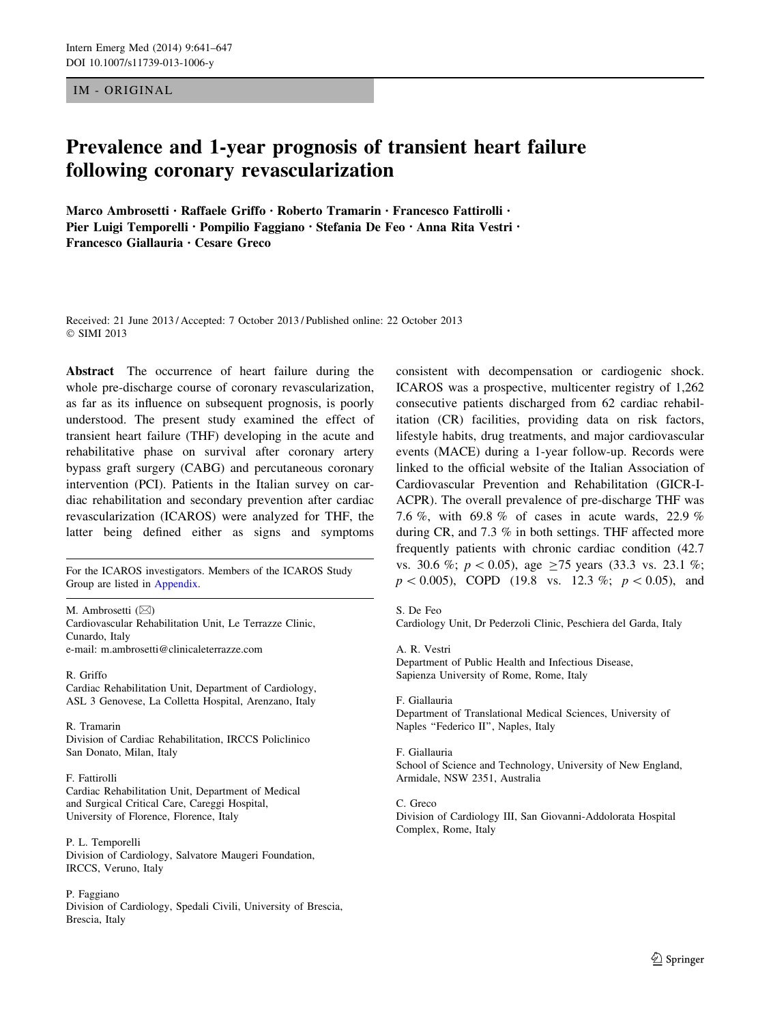IM - ORIGINAL

# Prevalence and 1-year prognosis of transient heart failure following coronary revascularization

Marco Ambrosetti • Raffaele Griffo • Roberto Tramarin • Francesco Fattirolli • Pier Luigi Temporelli • Pompilio Faggiano • Stefania De Feo • Anna Rita Vestri • Francesco Giallauria • Cesare Greco

Received: 21 June 2013 / Accepted: 7 October 2013 / Published online: 22 October 2013 © SIMI 2013

Abstract The occurrence of heart failure during the whole pre-discharge course of coronary revascularization, as far as its influence on subsequent prognosis, is poorly understood. The present study examined the effect of transient heart failure (THF) developing in the acute and rehabilitative phase on survival after coronary artery bypass graft surgery (CABG) and percutaneous coronary intervention (PCI). Patients in the Italian survey on cardiac rehabilitation and secondary prevention after cardiac revascularization (ICAROS) were analyzed for THF, the latter being defined either as signs and symptoms

Group are listed in [Appendix.](#page-6-0)

M. Ambrosetti  $(\boxtimes)$ Cardiovascular Rehabilitation Unit, Le Terrazze Clinic, Cunardo, Italy e-mail: m.ambrosetti@clinicaleterrazze.com

R. Griffo

Cardiac Rehabilitation Unit, Department of Cardiology, ASL 3 Genovese, La Colletta Hospital, Arenzano, Italy

R. Tramarin Division of Cardiac Rehabilitation, IRCCS Policlinico San Donato, Milan, Italy

#### F. Fattirolli

Cardiac Rehabilitation Unit, Department of Medical and Surgical Critical Care, Careggi Hospital, University of Florence, Florence, Italy

P. L. Temporelli Division of Cardiology, Salvatore Maugeri Foundation, IRCCS, Veruno, Italy

#### P. Faggiano

Division of Cardiology, Spedali Civili, University of Brescia, Brescia, Italy

consistent with decompensation or cardiogenic shock. ICAROS was a prospective, multicenter registry of 1,262 consecutive patients discharged from 62 cardiac rehabilitation (CR) facilities, providing data on risk factors, lifestyle habits, drug treatments, and major cardiovascular events (MACE) during a 1-year follow-up. Records were linked to the official website of the Italian Association of Cardiovascular Prevention and Rehabilitation (GICR-I-ACPR). The overall prevalence of pre-discharge THF was 7.6 %, with 69.8 % of cases in acute wards, 22.9 % during CR, and 7.3 % in both settings. THF affected more frequently patients with chronic cardiac condition (42.7 vs. 30.6 %;  $p < 0.05$ ), age  $\geq 75$  years (33.3 vs. 23.1 %; For the ICAROS investigators. Members of the ICAROS Study<br>
For the ICAROS Study<br>  $p < 0.005$ , COPD (19.8 vs. 12.3 %;  $p < 0.05$ ), and  $p < 0.005$ ), COPD (19.8 vs. 12.3 %;  $p < 0.05$ ), and

S. De Feo

Cardiology Unit, Dr Pederzoli Clinic, Peschiera del Garda, Italy

A. R. Vestri Department of Public Health and Infectious Disease, Sapienza University of Rome, Rome, Italy

F. Giallauria Department of Translational Medical Sciences, University of Naples "Federico II", Naples, Italy

#### F. Giallauria

School of Science and Technology, University of New England, Armidale, NSW 2351, Australia

C. Greco Division of Cardiology III, San Giovanni-Addolorata Hospital Complex, Rome, Italy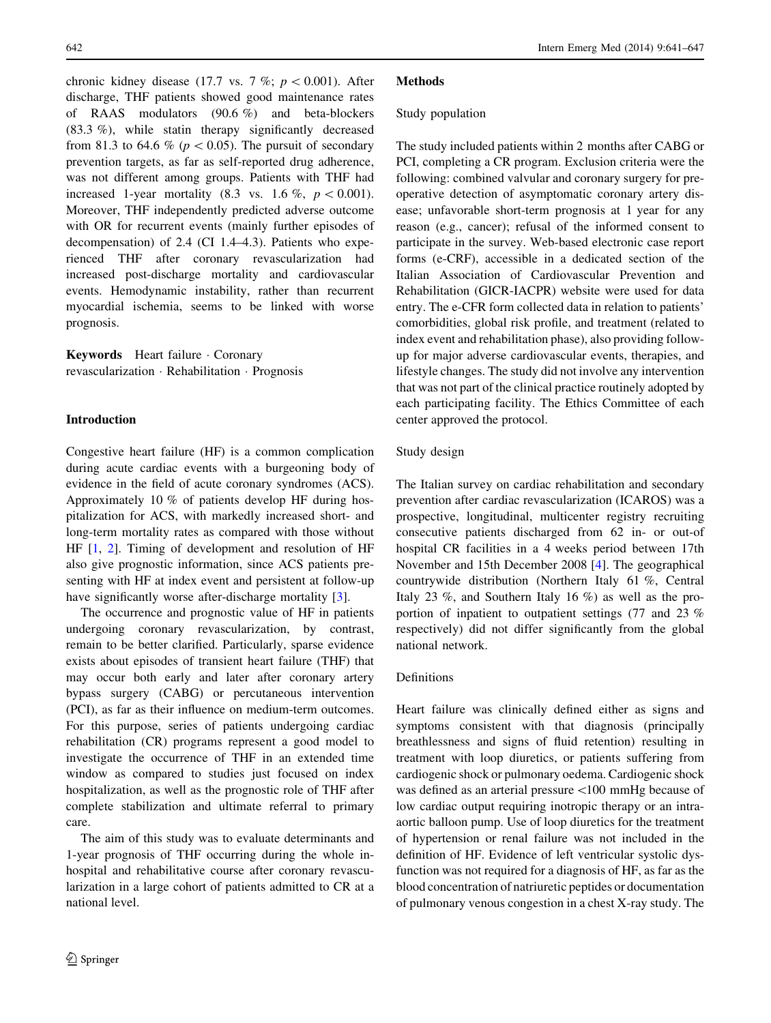chronic kidney disease (17.7 vs. 7 %;  $p < 0.001$ ). After discharge, THF patients showed good maintenance rates of RAAS modulators (90.6 %) and beta-blockers (83.3 %), while statin therapy significantly decreased from 81.3 to 64.6 % ( $p < 0.05$ ). The pursuit of secondary prevention targets, as far as self-reported drug adherence, was not different among groups. Patients with THF had increased 1-year mortality (8.3 vs. 1.6 %,  $p < 0.001$ ). Moreover, THF independently predicted adverse outcome with OR for recurrent events (mainly further episodes of decompensation) of 2.4 (CI 1.4–4.3). Patients who experienced THF after coronary revascularization had increased post-discharge mortality and cardiovascular events. Hemodynamic instability, rather than recurrent myocardial ischemia, seems to be linked with worse prognosis.

Keywords Heart failure · Coronary revascularization - Rehabilitation - Prognosis

# Introduction

Congestive heart failure (HF) is a common complication during acute cardiac events with a burgeoning body of evidence in the field of acute coronary syndromes (ACS). Approximately 10 % of patients develop HF during hospitalization for ACS, with markedly increased short- and long-term mortality rates as compared with those without HF [\[1](#page-6-0), [2](#page-6-0)]. Timing of development and resolution of HF also give prognostic information, since ACS patients presenting with HF at index event and persistent at follow-up have significantly worse after-discharge mortality [\[3](#page-6-0)].

The occurrence and prognostic value of HF in patients undergoing coronary revascularization, by contrast, remain to be better clarified. Particularly, sparse evidence exists about episodes of transient heart failure (THF) that may occur both early and later after coronary artery bypass surgery (CABG) or percutaneous intervention (PCI), as far as their influence on medium-term outcomes. For this purpose, series of patients undergoing cardiac rehabilitation (CR) programs represent a good model to investigate the occurrence of THF in an extended time window as compared to studies just focused on index hospitalization, as well as the prognostic role of THF after complete stabilization and ultimate referral to primary care.

The aim of this study was to evaluate determinants and 1-year prognosis of THF occurring during the whole inhospital and rehabilitative course after coronary revascularization in a large cohort of patients admitted to CR at a national level.

## **Methods**

## Study population

The study included patients within 2 months after CABG or PCI, completing a CR program. Exclusion criteria were the following: combined valvular and coronary surgery for preoperative detection of asymptomatic coronary artery disease; unfavorable short-term prognosis at 1 year for any reason (e.g., cancer); refusal of the informed consent to participate in the survey. Web-based electronic case report forms (e-CRF), accessible in a dedicated section of the Italian Association of Cardiovascular Prevention and Rehabilitation (GICR-IACPR) website were used for data entry. The e-CFR form collected data in relation to patients' comorbidities, global risk profile, and treatment (related to index event and rehabilitation phase), also providing followup for major adverse cardiovascular events, therapies, and lifestyle changes. The study did not involve any intervention that was not part of the clinical practice routinely adopted by each participating facility. The Ethics Committee of each center approved the protocol.

# Study design

The Italian survey on cardiac rehabilitation and secondary prevention after cardiac revascularization (ICAROS) was a prospective, longitudinal, multicenter registry recruiting consecutive patients discharged from 62 in- or out-of hospital CR facilities in a 4 weeks period between 17th November and 15th December 2008 [\[4](#page-6-0)]. The geographical countrywide distribution (Northern Italy 61 %, Central Italy 23 %, and Southern Italy 16 %) as well as the proportion of inpatient to outpatient settings (77 and 23 % respectively) did not differ significantly from the global national network.

# Definitions

Heart failure was clinically defined either as signs and symptoms consistent with that diagnosis (principally breathlessness and signs of fluid retention) resulting in treatment with loop diuretics, or patients suffering from cardiogenic shock or pulmonary oedema. Cardiogenic shock was defined as an arterial pressure <100 mmHg because of low cardiac output requiring inotropic therapy or an intraaortic balloon pump. Use of loop diuretics for the treatment of hypertension or renal failure was not included in the definition of HF. Evidence of left ventricular systolic dysfunction was not required for a diagnosis of HF, as far as the blood concentration of natriuretic peptides or documentation of pulmonary venous congestion in a chest X-ray study. The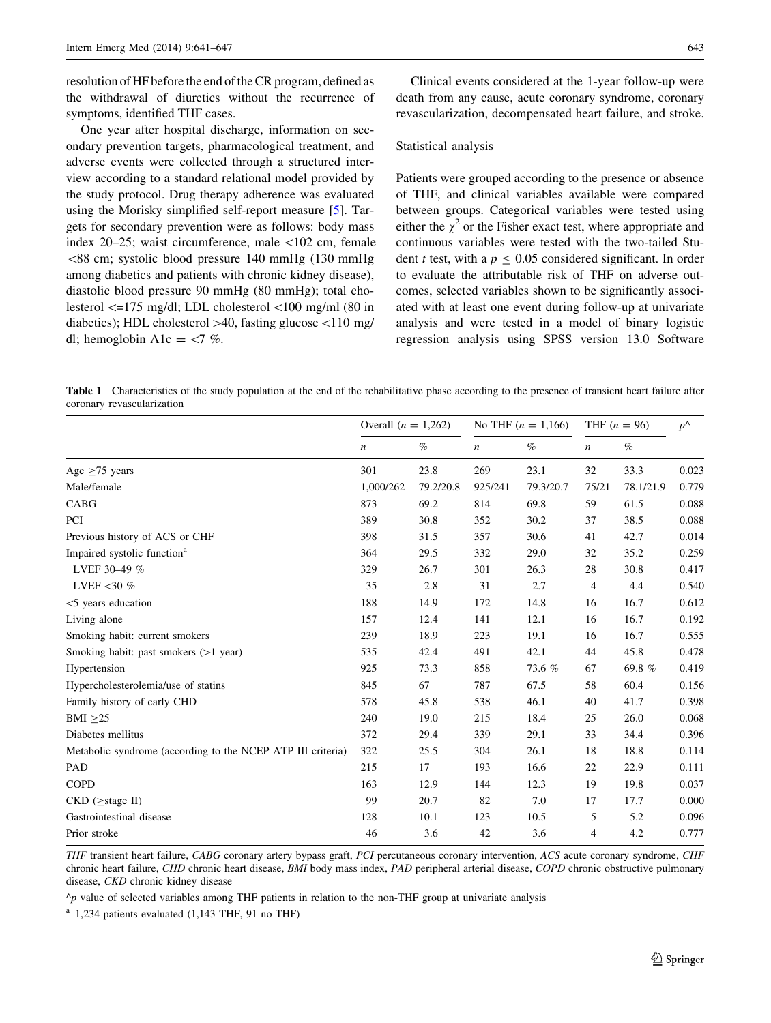<span id="page-2-0"></span>resolution of HF before the end of the CR program, defined as the withdrawal of diuretics without the recurrence of symptoms, identified THF cases.

One year after hospital discharge, information on secondary prevention targets, pharmacological treatment, and adverse events were collected through a structured interview according to a standard relational model provided by the study protocol. Drug therapy adherence was evaluated using the Morisky simplified self-report measure [[5\]](#page-6-0). Targets for secondary prevention were as follows: body mass index 20–25; waist circumference, male \102 cm, female  $\leq$ 88 cm; systolic blood pressure 140 mmHg (130 mmHg among diabetics and patients with chronic kidney disease), diastolic blood pressure 90 mmHg (80 mmHg); total cholesterol  $\leq$ =175 mg/dl; LDL cholesterol  $\leq$ 100 mg/ml (80 in diabetics); HDL cholesterol  $>40$ , fasting glucose  $<110$  mg/ dl; hemoglobin A1c =  $\langle 7 \, % \rangle$ 

Clinical events considered at the 1-year follow-up were death from any cause, acute coronary syndrome, coronary revascularization, decompensated heart failure, and stroke.

# Statistical analysis

Patients were grouped according to the presence or absence of THF, and clinical variables available were compared between groups. Categorical variables were tested using either the  $\chi^2$  or the Fisher exact test, where appropriate and continuous variables were tested with the two-tailed Student t test, with a  $p \le 0.05$  considered significant. In order to evaluate the attributable risk of THF on adverse outcomes, selected variables shown to be significantly associated with at least one event during follow-up at univariate analysis and were tested in a model of binary logistic regression analysis using SPSS version 13.0 Software

Table 1 Characteristics of the study population at the end of the rehabilitative phase according to the presence of transient heart failure after coronary revascularization

|                                                             | Overall $(n = 1,262)$ |           | No THF $(n = 1,166)$ |           | THF $(n = 96)$   |           | $p^{\Lambda}$ |
|-------------------------------------------------------------|-----------------------|-----------|----------------------|-----------|------------------|-----------|---------------|
|                                                             | $\boldsymbol{n}$      | $\%$      | $\boldsymbol{n}$     | $\%$      | $\boldsymbol{n}$ | $\%$      |               |
| Age $\geq$ 75 years                                         | 301                   | 23.8      | 269                  | 23.1      | 32               | 33.3      | 0.023         |
| Male/female                                                 | 1,000/262             | 79.2/20.8 | 925/241              | 79.3/20.7 | 75/21            | 78.1/21.9 | 0.779         |
| CABG                                                        | 873                   | 69.2      | 814                  | 69.8      | 59               | 61.5      | 0.088         |
| PCI                                                         | 389                   | 30.8      | 352                  | 30.2      | 37               | 38.5      | 0.088         |
| Previous history of ACS or CHF                              | 398                   | 31.5      | 357                  | 30.6      | 41               | 42.7      | 0.014         |
| Impaired systolic function <sup>a</sup>                     | 364                   | 29.5      | 332                  | 29.0      | 32               | 35.2      | 0.259         |
| LVEF 30-49 %                                                | 329                   | 26.7      | 301                  | 26.3      | 28               | 30.8      | 0.417         |
| LVEF < 30 $%$                                               | 35                    | 2.8       | 31                   | 2.7       | $\overline{4}$   | 4.4       | 0.540         |
| $<$ 5 years education                                       | 188                   | 14.9      | 172                  | 14.8      | 16               | 16.7      | 0.612         |
| Living alone                                                | 157                   | 12.4      | 141                  | 12.1      | 16               | 16.7      | 0.192         |
| Smoking habit: current smokers                              | 239                   | 18.9      | 223                  | 19.1      | 16               | 16.7      | 0.555         |
| Smoking habit: past smokers $(>1$ year)                     | 535                   | 42.4      | 491                  | 42.1      | 44               | 45.8      | 0.478         |
| Hypertension                                                | 925                   | 73.3      | 858                  | 73.6 %    | 67               | 69.8%     | 0.419         |
| Hypercholesterolemia/use of statins                         | 845                   | 67        | 787                  | 67.5      | 58               | 60.4      | 0.156         |
| Family history of early CHD                                 | 578                   | 45.8      | 538                  | 46.1      | 40               | 41.7      | 0.398         |
| BMI $\geq$ 25                                               | 240                   | 19.0      | 215                  | 18.4      | 25               | 26.0      | 0.068         |
| Diabetes mellitus                                           | 372                   | 29.4      | 339                  | 29.1      | 33               | 34.4      | 0.396         |
| Metabolic syndrome (according to the NCEP ATP III criteria) | 322                   | 25.5      | 304                  | 26.1      | 18               | 18.8      | 0.114         |
| PAD                                                         | 215                   | 17        | 193                  | 16.6      | 22               | 22.9      | 0.111         |
| <b>COPD</b>                                                 | 163                   | 12.9      | 144                  | 12.3      | 19               | 19.8      | 0.037         |
| $CKD$ ( $\geq$ stage II)                                    | 99                    | 20.7      | 82                   | 7.0       | 17               | 17.7      | 0.000         |
| Gastrointestinal disease                                    | 128                   | 10.1      | 123                  | 10.5      | 5                | 5.2       | 0.096         |
| Prior stroke                                                | 46                    | 3.6       | 42                   | 3.6       | 4                | 4.2       | 0.777         |

THF transient heart failure, CABG coronary artery bypass graft, PCI percutaneous coronary intervention, ACS acute coronary syndrome, CHF chronic heart failure, CHD chronic heart disease, BMI body mass index, PAD peripheral arterial disease, COPD chronic obstructive pulmonary disease, CKD chronic kidney disease

 $\gamma$  value of selected variables among THF patients in relation to the non-THF group at univariate analysis

 $a$  1,234 patients evaluated (1,143 THF, 91 no THF)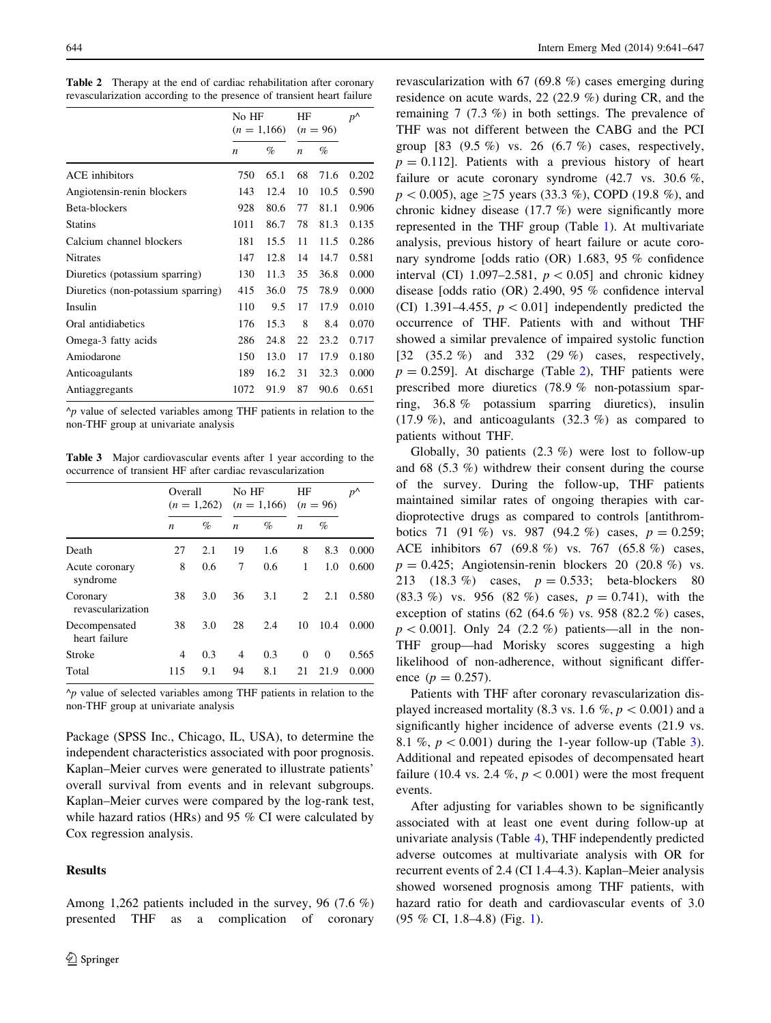Table 2 Therapy at the end of cardiac rehabilitation after coronary revascularization according to the presence of transient heart failure

|                                    | No HF<br>$(n = 1,166)$ |      | ΗF<br>$(n = 96)$ |      | $p^{\Lambda}$ |
|------------------------------------|------------------------|------|------------------|------|---------------|
|                                    | $\boldsymbol{n}$       | %    | $\boldsymbol{n}$ | %    |               |
| <b>ACE</b> inhibitors              | 750                    | 65.1 | 68               | 71.6 | 0.202         |
| Angiotensin-renin blockers         | 143                    | 12.4 | 10               | 10.5 | 0.590         |
| Beta-blockers                      | 928                    | 80.6 | 77               | 81.1 | 0.906         |
| <b>Statins</b>                     | 1011                   | 86.7 | 78               | 81.3 | 0.135         |
| Calcium channel blockers           | 181                    | 15.5 | 11               | 11.5 | 0.286         |
| <b>Nitrates</b>                    | 147                    | 12.8 | 14               | 14.7 | 0.581         |
| Diuretics (potassium sparring)     | 130                    | 11.3 | 35               | 36.8 | 0.000         |
| Diuretics (non-potassium sparring) | 415                    | 36.0 | 75               | 78.9 | 0.000         |
| Insulin                            | 110                    | 9.5  | 17               | 17.9 | 0.010         |
| Oral antidiabetics                 | 176                    | 15.3 | 8                | 8.4  | 0.070         |
| Omega-3 fatty acids                | 286                    | 24.8 | 22               | 23.2 | 0.717         |
| Amiodarone                         | 150                    | 13.0 | 17               | 17.9 | 0.180         |
| Anticoagulants                     | 189                    | 16.2 | 31               | 32.3 | 0.000         |
| Antiaggregants                     | 1072                   | 91.9 | 87               | 90.6 | 0.651         |

 $\gamma_p$  value of selected variables among THF patients in relation to the non-THF group at univariate analysis

Table 3 Major cardiovascular events after 1 year according to the occurrence of transient HF after cardiac revascularization

|                                |                  | Overall<br>$(n = 1,262)$ |                  | No HF<br>$(n = 1,166)$ |                  | $(n = 96)$ | $p^{\Lambda}$ |
|--------------------------------|------------------|--------------------------|------------------|------------------------|------------------|------------|---------------|
|                                | $\boldsymbol{n}$ | $\%$                     | $\boldsymbol{n}$ | $\%$                   | $\boldsymbol{n}$ | %          |               |
| Death                          | 27               | 2.1                      | 19               | 1.6                    | 8                | 8.3        | 0.000         |
| Acute coronary<br>syndrome     | 8                | 0.6                      | 7                | 0.6                    | 1                | 1.0        | 0.600         |
| Coronary<br>revascularization  | 38               | 3.0                      | 36               | 3.1                    | 2                | 2.1        | 0.580         |
| Decompensated<br>heart failure | 38               | 3.0                      | 28               | 2.4                    | 10               | 10.4       | 0.000         |
| Stroke                         | 4                | 0.3                      | 4                | 0.3                    | $\Omega$         | $\Omega$   | 0.565         |
| Total                          | 115              | 9.1                      | 94               | 8.1                    | 21               | 21.9       | 0.000         |

 $\gamma$  value of selected variables among THF patients in relation to the non-THF group at univariate analysis

Package (SPSS Inc., Chicago, IL, USA), to determine the independent characteristics associated with poor prognosis. Kaplan–Meier curves were generated to illustrate patients' overall survival from events and in relevant subgroups. Kaplan–Meier curves were compared by the log-rank test, while hazard ratios (HRs) and 95 % CI were calculated by Cox regression analysis.

# **Results**

revascularization with 67 (69.8 %) cases emerging during residence on acute wards, 22 (22.9 %) during CR, and the remaining 7 (7.3 %) in both settings. The prevalence of THF was not different between the CABG and the PCI group  $[83 \ (9.5 \%)$  vs. 26  $(6.7 \%)$  cases, respectively,  $p = 0.112$ . Patients with a previous history of heart failure or acute coronary syndrome (42.7 vs. 30.6 %).  $p < 0.005$ ), age > 75 years (33.3 %), COPD (19.8 %), and chronic kidney disease (17.7 %) were significantly more represented in the THF group (Table [1](#page-2-0)). At multivariate analysis, previous history of heart failure or acute coronary syndrome [odds ratio (OR) 1.683, 95 % confidence interval (CI) 1.097–2.581,  $p < 0.05$ ] and chronic kidney disease [odds ratio (OR) 2.490, 95 % confidence interval (CI) 1.391–4.455,  $p < 0.01$ ] independently predicted the occurrence of THF. Patients with and without THF showed a similar prevalence of impaired systolic function [32 (35.2 %) and 332 (29 %) cases, respectively,  $p = 0.259$ . At discharge (Table 2), THF patients were prescribed more diuretics (78.9 % non-potassium sparring, 36.8 % potassium sparring diuretics), insulin (17.9 %), and anticoagulants (32.3 %) as compared to patients without THF.

Globally, 30 patients (2.3 %) were lost to follow-up and 68 (5.3 %) withdrew their consent during the course of the survey. During the follow-up, THF patients maintained similar rates of ongoing therapies with cardioprotective drugs as compared to controls [antithrombotics 71 (91 %) vs. 987 (94.2 %) cases,  $p = 0.259$ ; ACE inhibitors 67 (69.8 %) vs. 767 (65.8 %) cases,  $p = 0.425$ ; Angiotensin-renin blockers 20 (20.8 %) vs. 213 (18.3 %) cases, p = 0.533; beta-blockers 80 (83.3 %) vs. 956 (82 %) cases,  $p = 0.741$ , with the exception of statins (62 (64.6 %) vs. 958 (82.2 %) cases,  $p<0.001$ ]. Only 24 (2.2 %) patients—all in the non-THF group—had Morisky scores suggesting a high likelihood of non-adherence, without significant difference  $(p = 0.257)$ .

Patients with THF after coronary revascularization displayed increased mortality (8.3 vs. 1.6 %,  $p < 0.001$ ) and a significantly higher incidence of adverse events (21.9 vs. 8.1 %,  $p < 0.001$ ) during the 1-year follow-up (Table 3). Additional and repeated episodes of decompensated heart failure (10.4 vs. 2.4 %,  $p < 0.001$ ) were the most frequent events.

After adjusting for variables shown to be significantly associated with at least one event during follow-up at univariate analysis (Table [4\)](#page-4-0), THF independently predicted adverse outcomes at multivariate analysis with OR for recurrent events of 2.4 (CI 1.4–4.3). Kaplan–Meier analysis showed worsened prognosis among THF patients, with hazard ratio for death and cardiovascular events of 3.0 (95 % CI, 1.8–4.8) (Fig. [1](#page-5-0)).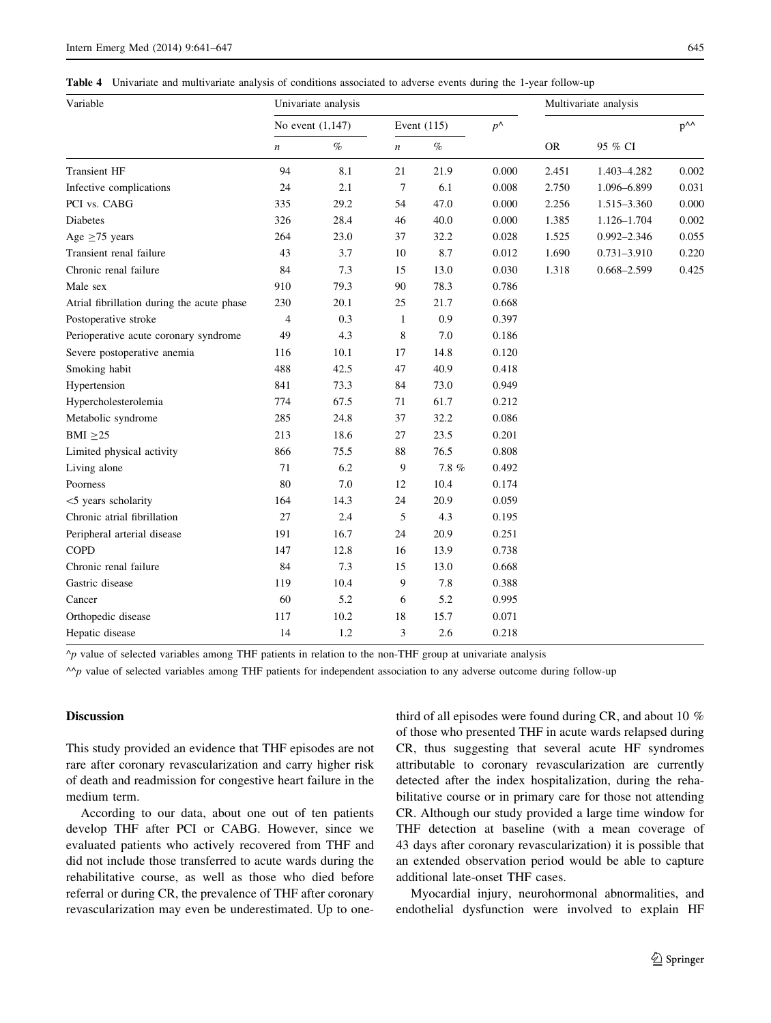<span id="page-4-0"></span>Table 4 Univariate and multivariate analysis of conditions associated to adverse events during the 1-year follow-up

| Variable                                   | Univariate analysis |      |                  |       |               | Multivariate analysis |                 |                      |  |
|--------------------------------------------|---------------------|------|------------------|-------|---------------|-----------------------|-----------------|----------------------|--|
|                                            | No event $(1,147)$  |      | Event $(115)$    |       | $p^{\Lambda}$ |                       |                 | $p^{\Lambda\Lambda}$ |  |
|                                            | $\boldsymbol{n}$    | $\%$ | $\boldsymbol{n}$ | $\%$  |               | <b>OR</b>             | 95 % CI         |                      |  |
| <b>Transient HF</b>                        | 94                  | 8.1  | 21               | 21.9  | 0.000         | 2.451                 | 1.403-4.282     | 0.002                |  |
| Infective complications                    | 24                  | 2.1  | $\tau$           | 6.1   | 0.008         | 2.750                 | 1.096-6.899     | 0.031                |  |
| PCI vs. CABG                               | 335                 | 29.2 | 54               | 47.0  | 0.000         | 2.256                 | 1.515-3.360     | 0.000                |  |
| <b>Diabetes</b>                            | 326                 | 28.4 | 46               | 40.0  | 0.000         | 1.385                 | 1.126-1.704     | 0.002                |  |
| Age $\geq$ 75 years                        | 264                 | 23.0 | 37               | 32.2  | 0.028         | 1.525                 | $0.992 - 2.346$ | 0.055                |  |
| Transient renal failure                    | 43                  | 3.7  | 10               | 8.7   | 0.012         | 1.690                 | 0.731-3.910     | 0.220                |  |
| Chronic renal failure                      | 84                  | 7.3  | 15               | 13.0  | 0.030         | 1.318                 | 0.668-2.599     | 0.425                |  |
| Male sex                                   | 910                 | 79.3 | 90               | 78.3  | 0.786         |                       |                 |                      |  |
| Atrial fibrillation during the acute phase | 230                 | 20.1 | 25               | 21.7  | 0.668         |                       |                 |                      |  |
| Postoperative stroke                       | 4                   | 0.3  | $\mathbf{1}$     | 0.9   | 0.397         |                       |                 |                      |  |
| Perioperative acute coronary syndrome      | 49                  | 4.3  | 8                | 7.0   | 0.186         |                       |                 |                      |  |
| Severe postoperative anemia                | 116                 | 10.1 | 17               | 14.8  | 0.120         |                       |                 |                      |  |
| Smoking habit                              | 488                 | 42.5 | 47               | 40.9  | 0.418         |                       |                 |                      |  |
| Hypertension                               | 841                 | 73.3 | 84               | 73.0  | 0.949         |                       |                 |                      |  |
| Hypercholesterolemia                       | 774                 | 67.5 | 71               | 61.7  | 0.212         |                       |                 |                      |  |
| Metabolic syndrome                         | 285                 | 24.8 | 37               | 32.2  | 0.086         |                       |                 |                      |  |
| BMI $\geq$ 25                              | 213                 | 18.6 | 27               | 23.5  | 0.201         |                       |                 |                      |  |
| Limited physical activity                  | 866                 | 75.5 | 88               | 76.5  | 0.808         |                       |                 |                      |  |
| Living alone                               | 71                  | 6.2  | 9                | 7.8 % | 0.492         |                       |                 |                      |  |
| Poorness                                   | 80                  | 7.0  | 12               | 10.4  | 0.174         |                       |                 |                      |  |
| <5 years scholarity                        | 164                 | 14.3 | 24               | 20.9  | 0.059         |                       |                 |                      |  |
| Chronic atrial fibrillation                | 27                  | 2.4  | 5                | 4.3   | 0.195         |                       |                 |                      |  |
| Peripheral arterial disease                | 191                 | 16.7 | 24               | 20.9  | 0.251         |                       |                 |                      |  |
| <b>COPD</b>                                | 147                 | 12.8 | 16               | 13.9  | 0.738         |                       |                 |                      |  |
| Chronic renal failure                      | 84                  | 7.3  | 15               | 13.0  | 0.668         |                       |                 |                      |  |
| Gastric disease                            | 119                 | 10.4 | 9                | 7.8   | 0.388         |                       |                 |                      |  |
| Cancer                                     | 60                  | 5.2  | 6                | 5.2   | 0.995         |                       |                 |                      |  |
| Orthopedic disease                         | 117                 | 10.2 | 18               | 15.7  | 0.071         |                       |                 |                      |  |
| Hepatic disease                            | 14                  | 1.2  | 3                | 2.6   | 0.218         |                       |                 |                      |  |

 $\gamma$  value of selected variables among THF patients in relation to the non-THF group at univariate analysis

 $\wedge$ p value of selected variables among THF patients for independent association to any adverse outcome during follow-up

## Discussion

This study provided an evidence that THF episodes are not rare after coronary revascularization and carry higher risk of death and readmission for congestive heart failure in the medium term.

According to our data, about one out of ten patients develop THF after PCI or CABG. However, since we evaluated patients who actively recovered from THF and did not include those transferred to acute wards during the rehabilitative course, as well as those who died before referral or during CR, the prevalence of THF after coronary revascularization may even be underestimated. Up to onethird of all episodes were found during CR, and about 10 % of those who presented THF in acute wards relapsed during CR, thus suggesting that several acute HF syndromes attributable to coronary revascularization are currently detected after the index hospitalization, during the rehabilitative course or in primary care for those not attending CR. Although our study provided a large time window for THF detection at baseline (with a mean coverage of 43 days after coronary revascularization) it is possible that an extended observation period would be able to capture additional late-onset THF cases.

Myocardial injury, neurohormonal abnormalities, and endothelial dysfunction were involved to explain HF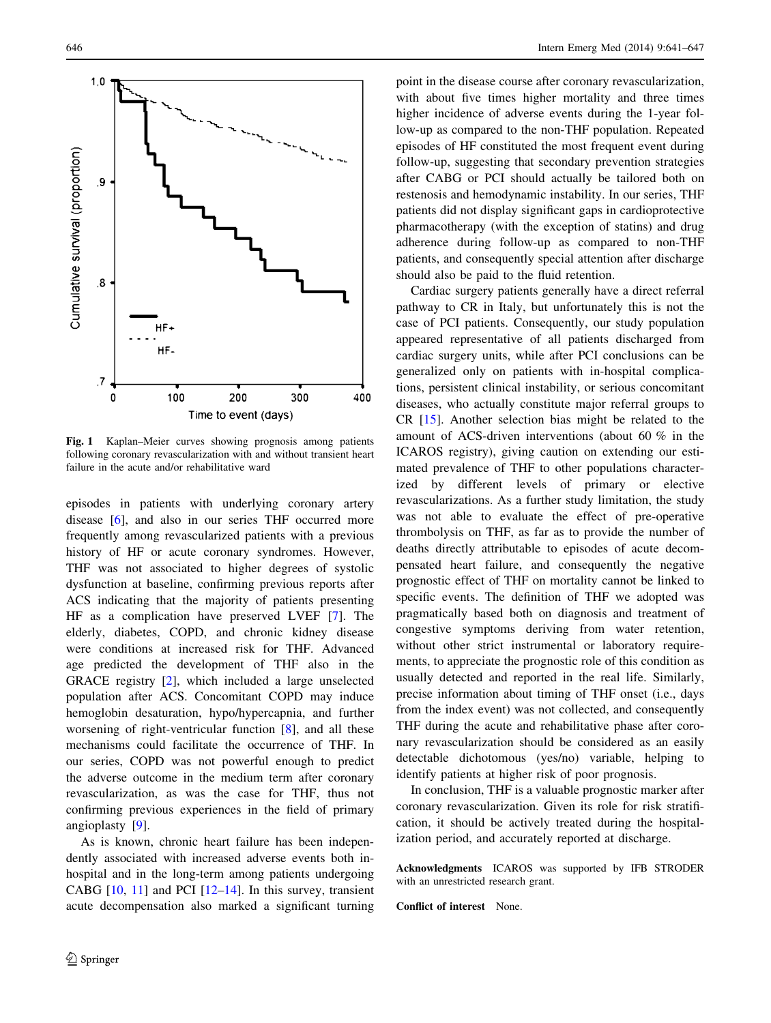<span id="page-5-0"></span>

Fig. 1 Kaplan–Meier curves showing prognosis among patients following coronary revascularization with and without transient heart failure in the acute and/or rehabilitative ward

episodes in patients with underlying coronary artery disease [\[6](#page-6-0)], and also in our series THF occurred more frequently among revascularized patients with a previous history of HF or acute coronary syndromes. However, THF was not associated to higher degrees of systolic dysfunction at baseline, confirming previous reports after ACS indicating that the majority of patients presenting HF as a complication have preserved LVEF [[7\]](#page-6-0). The elderly, diabetes, COPD, and chronic kidney disease were conditions at increased risk for THF. Advanced age predicted the development of THF also in the GRACE registry [\[2](#page-6-0)], which included a large unselected population after ACS. Concomitant COPD may induce hemoglobin desaturation, hypo/hypercapnia, and further worsening of right-ventricular function [\[8](#page-6-0)], and all these mechanisms could facilitate the occurrence of THF. In our series, COPD was not powerful enough to predict the adverse outcome in the medium term after coronary revascularization, as was the case for THF, thus not confirming previous experiences in the field of primary angioplasty [\[9](#page-6-0)].

As is known, chronic heart failure has been independently associated with increased adverse events both inhospital and in the long-term among patients undergoing CABG  $[10, 11]$  $[10, 11]$  $[10, 11]$  $[10, 11]$  and PCI  $[12–14]$  $[12–14]$ . In this survey, transient acute decompensation also marked a significant turning point in the disease course after coronary revascularization, with about five times higher mortality and three times higher incidence of adverse events during the 1-year follow-up as compared to the non-THF population. Repeated episodes of HF constituted the most frequent event during follow-up, suggesting that secondary prevention strategies after CABG or PCI should actually be tailored both on restenosis and hemodynamic instability. In our series, THF patients did not display significant gaps in cardioprotective pharmacotherapy (with the exception of statins) and drug adherence during follow-up as compared to non-THF patients, and consequently special attention after discharge should also be paid to the fluid retention.

Cardiac surgery patients generally have a direct referral pathway to CR in Italy, but unfortunately this is not the case of PCI patients. Consequently, our study population appeared representative of all patients discharged from cardiac surgery units, while after PCI conclusions can be generalized only on patients with in-hospital complications, persistent clinical instability, or serious concomitant diseases, who actually constitute major referral groups to CR [\[15](#page-6-0)]. Another selection bias might be related to the amount of ACS-driven interventions (about 60 % in the ICAROS registry), giving caution on extending our estimated prevalence of THF to other populations characterized by different levels of primary or elective revascularizations. As a further study limitation, the study was not able to evaluate the effect of pre-operative thrombolysis on THF, as far as to provide the number of deaths directly attributable to episodes of acute decompensated heart failure, and consequently the negative prognostic effect of THF on mortality cannot be linked to specific events. The definition of THF we adopted was pragmatically based both on diagnosis and treatment of congestive symptoms deriving from water retention, without other strict instrumental or laboratory requirements, to appreciate the prognostic role of this condition as usually detected and reported in the real life. Similarly, precise information about timing of THF onset (i.e., days from the index event) was not collected, and consequently THF during the acute and rehabilitative phase after coronary revascularization should be considered as an easily detectable dichotomous (yes/no) variable, helping to identify patients at higher risk of poor prognosis.

In conclusion, THF is a valuable prognostic marker after coronary revascularization. Given its role for risk stratification, it should be actively treated during the hospitalization period, and accurately reported at discharge.

Acknowledgments ICAROS was supported by IFB STRODER with an unrestricted research grant.

Conflict of interest None.